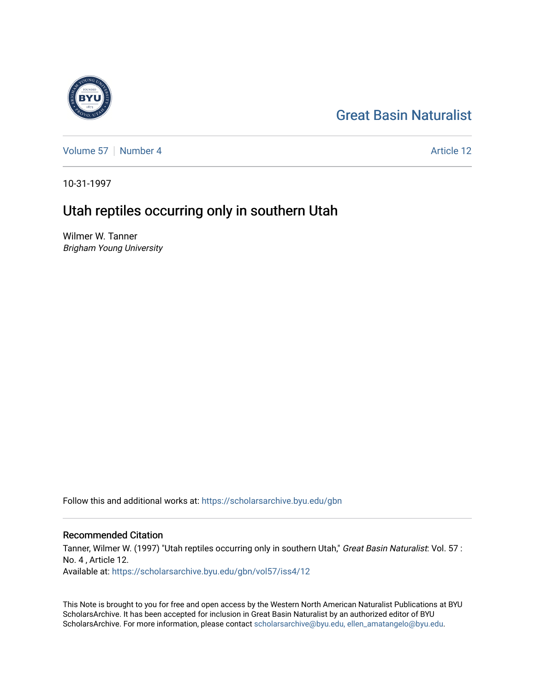#### [Great Basin Naturalist](https://scholarsarchive.byu.edu/gbn)

[Volume 57](https://scholarsarchive.byu.edu/gbn/vol57) | [Number 4](https://scholarsarchive.byu.edu/gbn/vol57/iss4) Article 12

10-31-1997

### Utah reptiles occurring only in southern Utah

Wilmer W. Tanner Brigham Young University

Follow this and additional works at: [https://scholarsarchive.byu.edu/gbn](https://scholarsarchive.byu.edu/gbn?utm_source=scholarsarchive.byu.edu%2Fgbn%2Fvol57%2Fiss4%2F12&utm_medium=PDF&utm_campaign=PDFCoverPages) 

#### Recommended Citation

Tanner, Wilmer W. (1997) "Utah reptiles occurring only in southern Utah," Great Basin Naturalist: Vol. 57 : No. 4 , Article 12. Available at: [https://scholarsarchive.byu.edu/gbn/vol57/iss4/12](https://scholarsarchive.byu.edu/gbn/vol57/iss4/12?utm_source=scholarsarchive.byu.edu%2Fgbn%2Fvol57%2Fiss4%2F12&utm_medium=PDF&utm_campaign=PDFCoverPages) 

This Note is brought to you for free and open access by the Western North American Naturalist Publications at BYU ScholarsArchive. It has been accepted for inclusion in Great Basin Naturalist by an authorized editor of BYU ScholarsArchive. For more information, please contact [scholarsarchive@byu.edu, ellen\\_amatangelo@byu.edu.](mailto:scholarsarchive@byu.edu,%20ellen_amatangelo@byu.edu)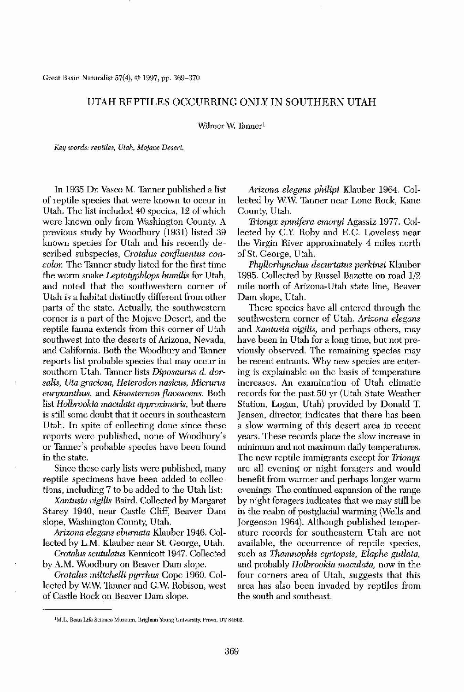Great Basin Naturalist 57(4), © 1997, pp. 369-370

# UTAH REPTILES OCCURRING ONLY IN SOUTHERN UTAH

Wilmer W. Tanner<sup>1</sup>

*Key words: reptiles, Utalt, Mojave Desert.*

In 1935 Dr. Vasco M. Tanner published a list of reptile species that were known to occur in Utah. The list included 40 species, 12 of which were known only from Washington County. A previous study by Woodbury (1931) listed 39 known species for Utah and his recently described subspecies, *Crotalus confluentus concolor.* The Tanner study listed for the first time the worm snake *Leptotyphlops humilis* for Utah, and noted that the southwestern corner of Utah is a habitat distinctly different from other parts of the state. Actually, the southwestern corner is a part of the Mojave Desert, and the reptile fauna extends from this corner of Utah southwest into the deserts of Arizona, Nevada, and California. Both the Woodbury and Tanner reports list probable species that may occur in southern Utah. Tanner lists *Diposaurus d. dor* $salis, Uta$  *graciosa, Heterodon nasicus, Micrurus euryxanthus,* and *Kioosternon jlavescens.* Both list *Holbrookia maculota approximaris,* but there is still some doubt that it occurs in southeastern Utah. In spite of collecting done since these reports were published, none of Woodbury's or Tanner's prohable species have been found in the state.

Arizona elegans eburnata Klauber 1946. Collected by L.M. Klauber near St. George, Utah.

*Crotalus scutulatus* Kennicott 1947. Collected by A. M. Woodbury on Beaver Dam slope.

*Crotalus miltchelli pyrrhus* Cope 1960. Collected by w.w. Tanner and G.w. Robison, west of Castle Rock on Beaver Dam slope.

*Arizona elegans philipi* Klauber 1964. Collected by W.W. Tanner near Lone Rock, Kane County, Utah.

*Phyllorhynchus decurtatus perkinsi* Klauber 1995. Collected by Russel Bazette on road 1/2 mile north of Arizona-Utah state line, Beaver Dam slope, Utah.

Since these early lists were published, many reptile specimens have been added to collections, including 7 to be added to the Utah list:

*Xantusia vigilis* Baird. Collected by Margaret Starey 1940, near Castle Cliff, Beaver Dam slope, Washington County, Utah.

*Trionyx spinijera emoryi* Agassiz 1977. Collected by G.Y. Roby and E.G. Loveless near the Virgin River approximately 4 miles north of St. George, Utah.

These species have all entered through the

southwestern corner of Utah. *Arizona elegans* and *Xantusia vigilis,* and perhaps others, may have been in Utah for a long time, but not previously observed. The remaining species may be recent entrants. Why new species are entering is explainable on the basis of temperature increases. An examination of Utah climatic records for the past 50 yr (Utah State Weather Station, Logan, Utah) provided by Donald T. Jensen, director, indicates that there has been a slow warming of this desert area in recent years. These records place the slow increase in minimum and not maximum daily temperatures. The new reptile immigrants except for *Trionyx* are all evening or night foragers and would benefit from warmer and perhaps longer warm evenings. The continued expansion of the range by night foragers indicates that we may still be in the realm of postglacial warming (Wells and Jorgenson 1964). Altbough published temperature records for southeastern Utah are not available, the occurrence of reptile species, such as *Tharnnophis cyrtopsis, Elaphe gutlata,* and probably *Holbrookia maculata*, now in the four corners area of Utah, suggests that this area has also been invaded by reptiles from the south and southeast.



 $1$ M.L. Bean Life Science Museum, Brigham Young University, Provo, UT 84602.